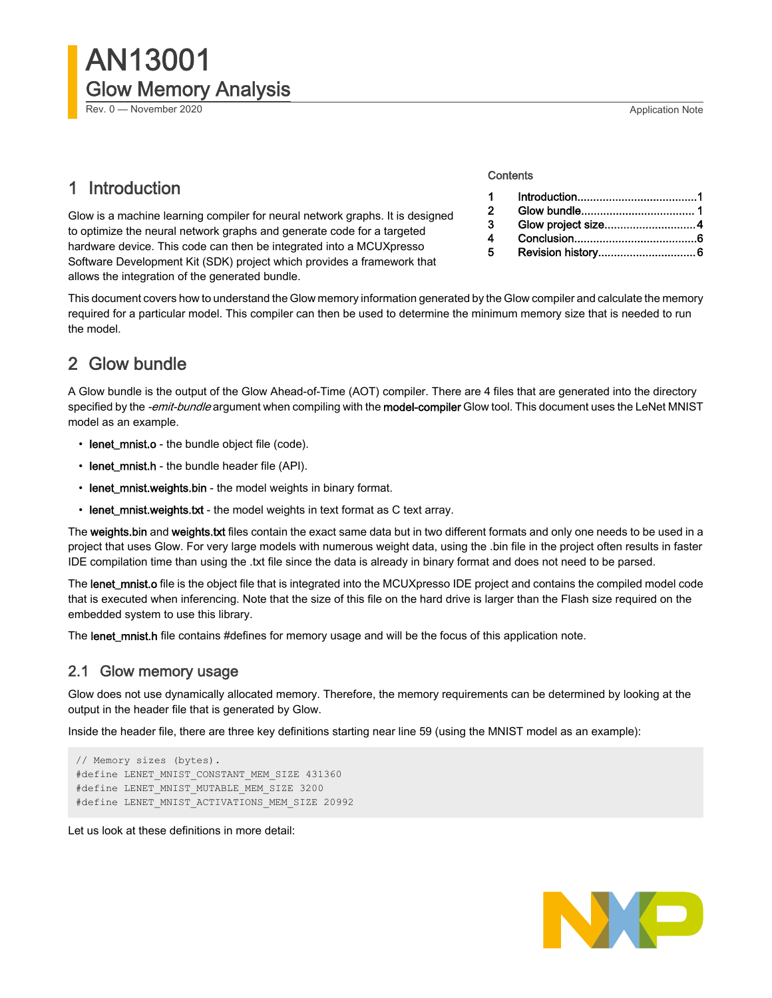Rev. 0 — November 2020 **Application Note Application Note Application Note Application Note** 

# 1 Introduction

Glow is a machine learning compiler for neural network graphs. It is designed to optimize the neural network graphs and generate code for a targeted hardware device. This code can then be integrated into a MCUXpresso Software Development Kit (SDK) project which provides a framework that allows the integration of the generated bundle.

#### **Contents**

| $\sim$ 1       |                    |  |
|----------------|--------------------|--|
| $\mathbf{P}$   |                    |  |
| $\mathbf{3}$   | Glow project size4 |  |
| $\overline{4}$ |                    |  |
| 5              |                    |  |

This document covers how to understand the Glow memory information generated by the Glow compiler and calculate the memory required for a particular model. This compiler can then be used to determine the minimum memory size that is needed to run the model.

# 2 Glow bundle

A Glow bundle is the output of the Glow Ahead-of-Time (AOT) compiler. There are 4 files that are generated into the directory specified by the -emit-bundle argument when compiling with the model-compiler Glow tool. This document uses the LeNet MNIST model as an example.

- lenet\_mnist.o the bundle object file (code).
- lenet\_mnist.h the bundle header file (API).
- lenet\_mnist.weights.bin the model weights in binary format.
- lenet\_mnist.weights.txt the model weights in text format as C text array.

The weights.bin and weights.txt files contain the exact same data but in two different formats and only one needs to be used in a project that uses Glow. For very large models with numerous weight data, using the .bin file in the project often results in faster IDE compilation time than using the .txt file since the data is already in binary format and does not need to be parsed.

The lenet\_mnist.o file is the object file that is integrated into the MCUXpresso IDE project and contains the compiled model code that is executed when inferencing. Note that the size of this file on the hard drive is larger than the Flash size required on the embedded system to use this library.

The lenet\_mnist.h file contains #defines for memory usage and will be the focus of this application note.

## 2.1 Glow memory usage

Glow does not use dynamically allocated memory. Therefore, the memory requirements can be determined by looking at the output in the header file that is generated by Glow.

Inside the header file, there are three key definitions starting near line 59 (using the MNIST model as an example):

```
// Memory sizes (bytes).
#define LENET MNIST CONSTANT MEM SIZE 431360
#define LENET MNIST MUTABLE MEM SIZE 3200
#define LENET_MNIST_ACTIVATIONS_MEM_SIZE 20992
```
Let us look at these definitions in more detail:

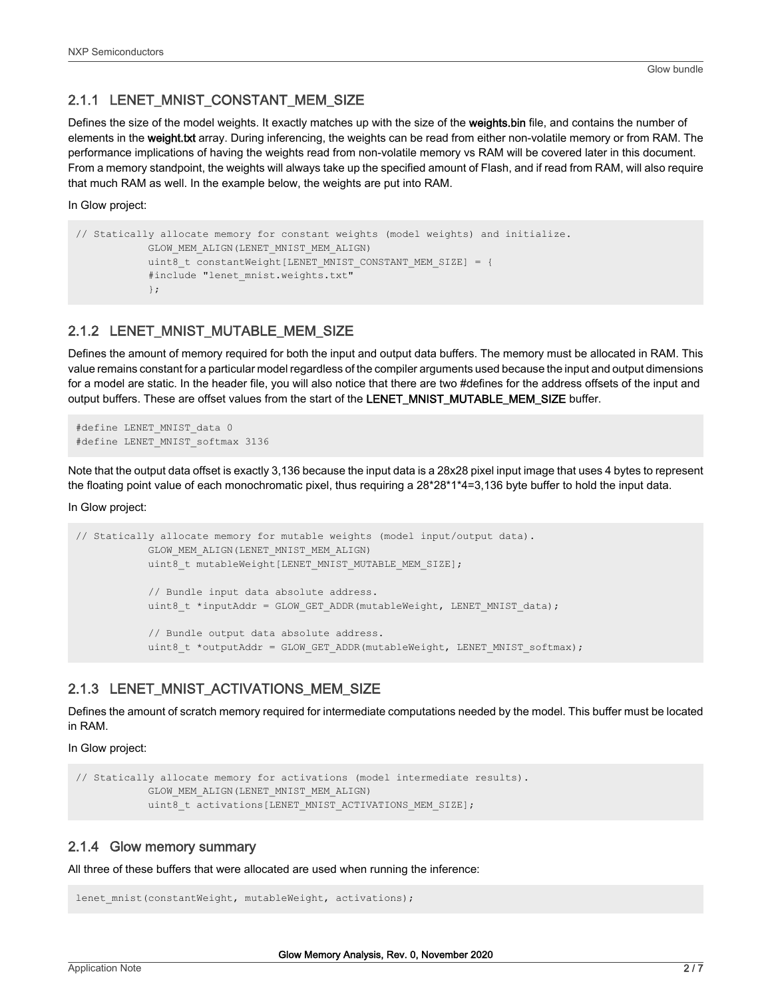## 2.1.1 LENET\_MNIST\_CONSTANT\_MEM\_SIZE

Defines the size of the model weights. It exactly matches up with the size of the weights.bin file, and contains the number of elements in the weight.txt array. During inferencing, the weights can be read from either non-volatile memory or from RAM. The performance implications of having the weights read from non-volatile memory vs RAM will be covered later in this document. From a memory standpoint, the weights will always take up the specified amount of Flash, and if read from RAM, will also require that much RAM as well. In the example below, the weights are put into RAM.

In Glow project:

```
// Statically allocate memory for constant weights (model weights) and initialize.
            GLOW_MEM_ALIGN(LENET_MNIST_MEM_ALIGN)
           uint8 t constantWeight[LENET_MNIST_CONSTANT_MEM_SIZE] = {
            #include "lenet mnist.weights.txt"
             };
```
## 2.1.2 LENET\_MNIST\_MUTABLE\_MEM\_SIZE

Defines the amount of memory required for both the input and output data buffers. The memory must be allocated in RAM. This value remains constant for a particular model regardless of the compiler arguments used because the input and output dimensions for a model are static. In the header file, you will also notice that there are two #defines for the address offsets of the input and output buffers. These are offset values from the start of the LENET\_MNIST\_MUTABLE\_MEM\_SIZE buffer.

```
#define LENET MNIST data 0
#define LENET_MNIST_softmax 3136
```
Note that the output data offset is exactly 3,136 because the input data is a 28x28 pixel input image that uses 4 bytes to represent the floating point value of each monochromatic pixel, thus requiring a 28\*28\*1\*4=3,136 byte buffer to hold the input data.

In Glow project:

```
// Statically allocate memory for mutable weights (model input/output data).
             GLOW_MEM_ALIGN(LENET_MNIST_MEM_ALIGN)
            uint8 t mutableWeight[LENET MNIST MUTABLE MEM SIZE];
             // Bundle input data absolute address.
            uint8 t *inputAddr = GLOW GET ADDR(mutableWeight, LENET MNIST data);
             // Bundle output data absolute address.
            uint8 t *outputAddr = GLOW GET ADDR(mutableWeight, LENET MNIST softmax);
```
## 2.1.3 LENET\_MNIST\_ACTIVATIONS\_MEM\_SIZE

Defines the amount of scratch memory required for intermediate computations needed by the model. This buffer must be located in RAM.

In Glow project:

```
// Statically allocate memory for activations (model intermediate results).
             GLOW_MEM_ALIGN(LENET_MNIST_MEM_ALIGN)
            uint8 t activations[LENET MNIST ACTIVATIONS MEM SIZE];
```
#### 2.1.4 Glow memory summary

All three of these buffers that were allocated are used when running the inference:

```
lenet mnist(constantWeight, mutableWeight, activations);
```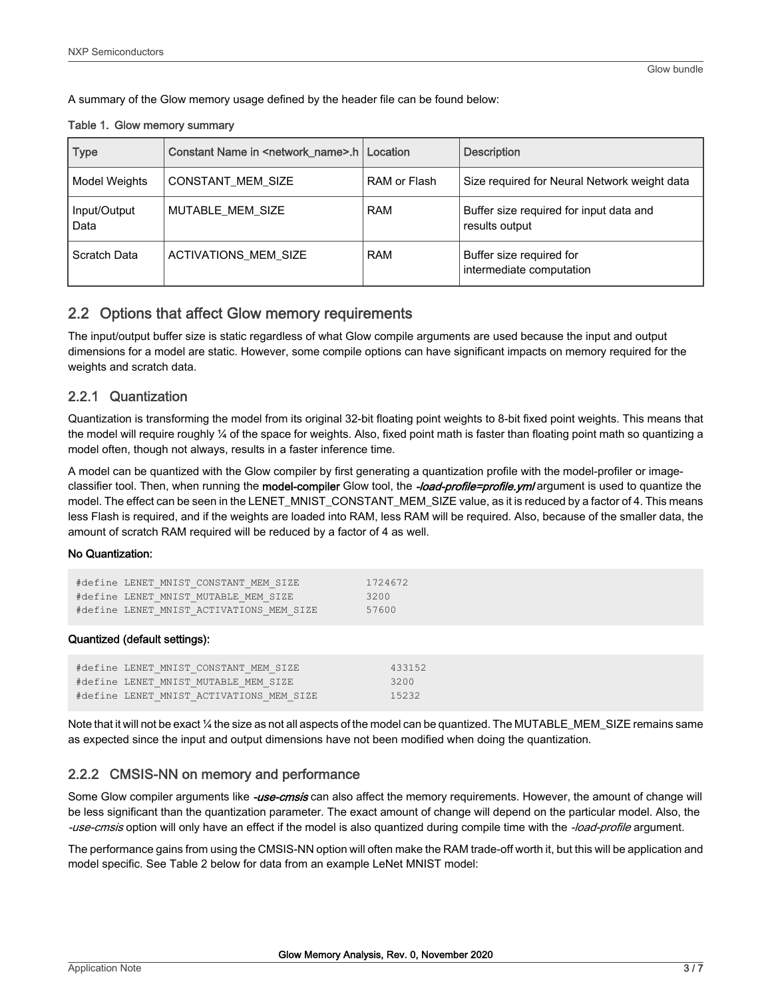A summary of the Glow memory usage defined by the header file can be found below:

#### Table 1. Glow memory summary

| <b>Type</b>          | Constant Name in <network_name>.h   Location</network_name> |              | <b>Description</b>                                        |
|----------------------|-------------------------------------------------------------|--------------|-----------------------------------------------------------|
| Model Weights        | CONSTANT_MEM_SIZE                                           | RAM or Flash | Size required for Neural Network weight data              |
| Input/Output<br>Data | MUTABLE MEM SIZE                                            | <b>RAM</b>   | Buffer size required for input data and<br>results output |
| Scratch Data         | <b>ACTIVATIONS MEM SIZE</b>                                 | <b>RAM</b>   | Buffer size required for<br>intermediate computation      |

## 2.2 Options that affect Glow memory requirements

The input/output buffer size is static regardless of what Glow compile arguments are used because the input and output dimensions for a model are static. However, some compile options can have significant impacts on memory required for the weights and scratch data.

## 2.2.1 Quantization

Quantization is transforming the model from its original 32-bit floating point weights to 8-bit fixed point weights. This means that the model will require roughly ¼ of the space for weights. Also, fixed point math is faster than floating point math so quantizing a model often, though not always, results in a faster inference time.

A model can be quantized with the Glow compiler by first generating a quantization profile with the model-profiler or imageclassifier tool. Then, when running the model-compiler Glow tool, the -load-profile=profile.yml argument is used to quantize the model. The effect can be seen in the LENET\_MNIST\_CONSTANT\_MEM\_SIZE value, as it is reduced by a factor of 4. This means less Flash is required, and if the weights are loaded into RAM, less RAM will be required. Also, because of the smaller data, the amount of scratch RAM required will be reduced by a factor of 4 as well.

#### No Quantization:

| #define LENET MNIST CONSTANT MEM SIZE    | 1724672 |
|------------------------------------------|---------|
| #define LENET MNIST MUTABLE MEM SIZE     | 3200    |
| #define LENET MNIST ACTIVATIONS MEM SIZE | 57600   |

#### Quantized (default settings):

| #define LENET MNIST CONSTANT MEM SIZE    | 433152 |
|------------------------------------------|--------|
| #define LENET MNIST MUTABLE MEM SIZE     | 3200   |
| #define LENET MNIST ACTIVATIONS MEM SIZE | 15232  |

Note that it will not be exact  $\frac{1}{4}$  the size as not all aspects of the model can be quantized. The MUTABLE\_MEM\_SIZE remains same as expected since the input and output dimensions have not been modified when doing the quantization.

## 2.2.2 CMSIS-NN on memory and performance

Some Glow compiler arguments like -use-cmsis can also affect the memory requirements. However, the amount of change will be less significant than the quantization parameter. The exact amount of change will depend on the particular model. Also, the -use-cmsis option will only have an effect if the model is also quantized during compile time with the -load-profile argument.

The performance gains from using the CMSIS-NN option will often make the RAM trade-off worth it, but this will be application and model specific. See Table 2 below for data from an example LeNet MNIST model: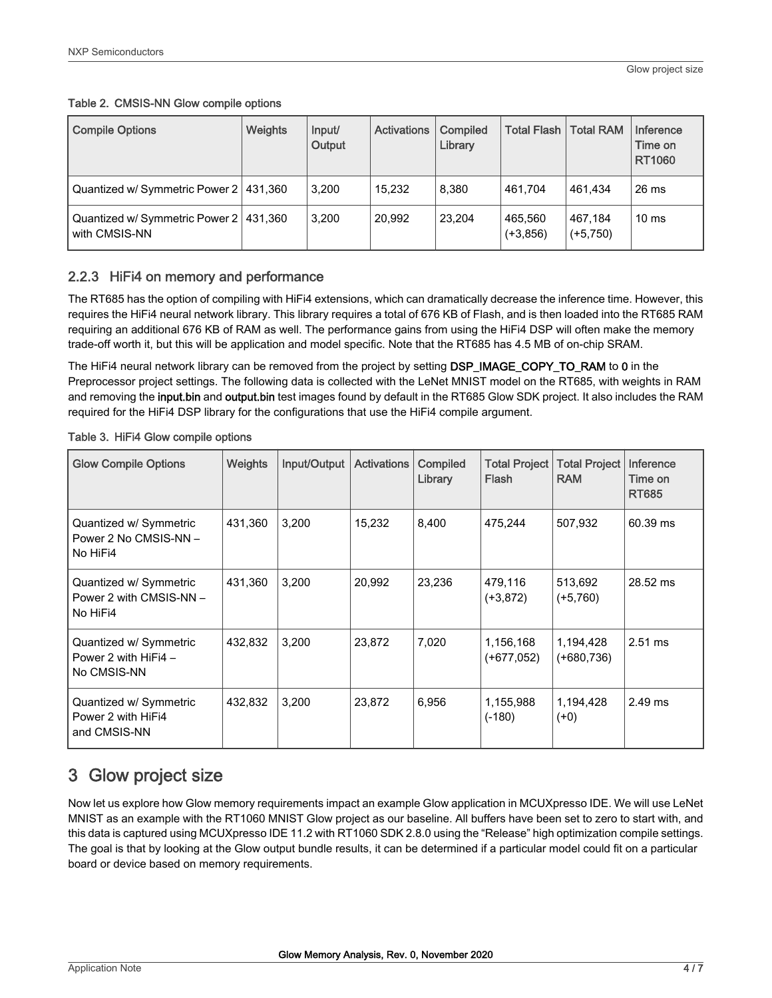<span id="page-3-0"></span>

| Table 2. CMSIS-NN Glow compile options |  |
|----------------------------------------|--|
|----------------------------------------|--|

| <b>Compile Options</b>                                    | <b>Weights</b> | Input/<br>Output | <b>Activations</b> | Compiled<br>Library | <b>Total Flash</b>    | <b>Total RAM</b>      | Inference<br>Time on<br>RT1060 |
|-----------------------------------------------------------|----------------|------------------|--------------------|---------------------|-----------------------|-----------------------|--------------------------------|
| Quantized w/ Symmetric Power 2   431,360                  |                | 3.200            | 15.232             | 8.380               | 461.704               | 461.434               | 26 ms                          |
| Quantized w/ Symmetric Power 2   431,360<br>with CMSIS-NN |                | 3,200            | 20.992             | 23,204              | 465,560<br>$(+3,856)$ | 467,184<br>$(+5,750)$ | 10 <sub>ms</sub>               |

## 2.2.3 HiFi4 on memory and performance

The RT685 has the option of compiling with HiFi4 extensions, which can dramatically decrease the inference time. However, this requires the HiFi4 neural network library. This library requires a total of 676 KB of Flash, and is then loaded into the RT685 RAM requiring an additional 676 KB of RAM as well. The performance gains from using the HiFi4 DSP will often make the memory trade-off worth it, but this will be application and model specific. Note that the RT685 has 4.5 MB of on-chip SRAM.

The HiFi4 neural network library can be removed from the project by setting DSP\_IMAGE\_COPY\_TO\_RAM to 0 in the Preprocessor project settings. The following data is collected with the LeNet MNIST model on the RT685, with weights in RAM and removing the input.bin and output.bin test images found by default in the RT685 Glow SDK project. It also includes the RAM required for the HiFi4 DSP library for the configurations that use the HiFi4 compile argument.

| <b>Glow Compile Options</b>                                     | <b>Weights</b> | Input/Output | <b>Activations</b> | Compiled<br>Library | <b>Total Project</b><br>Flash | <b>Total Project</b><br><b>RAM</b> | Inference<br>Time on<br><b>RT685</b> |
|-----------------------------------------------------------------|----------------|--------------|--------------------|---------------------|-------------------------------|------------------------------------|--------------------------------------|
| Quantized w/ Symmetric<br>Power 2 No CMSIS-NN -<br>No HiFi4     | 431,360        | 3,200        | 15,232             | 8,400               | 475,244                       | 507,932                            | 60.39 ms                             |
| Quantized w/ Symmetric<br>Power 2 with CMSIS-NN -<br>No HiFi4   | 431,360        | 3,200        | 20,992             | 23,236              | 479,116<br>$(+3, 872)$        | 513,692<br>$(+5,760)$              | 28.52 ms                             |
| Quantized w/ Symmetric<br>Power 2 with $HiFi4 -$<br>No CMSIS-NN | 432.832        | 3,200        | 23,872             | 7,020               | 1,156,168<br>$(+677.052)$     | 1,194,428<br>$(+680,736)$          | $2.51$ ms                            |
| Quantized w/ Symmetric<br>Power 2 with HiFi4<br>and CMSIS-NN    | 432.832        | 3,200        | 23,872             | 6,956               | 1,155,988<br>$(-180)$         | 1,194,428<br>$(+0)$                | $2.49$ ms                            |

Table 3. HiFi4 Glow compile options

# 3 Glow project size

Now let us explore how Glow memory requirements impact an example Glow application in MCUXpresso IDE. We will use LeNet MNIST as an example with the RT1060 MNIST Glow project as our baseline. All buffers have been set to zero to start with, and this data is captured using MCUXpresso IDE 11.2 with RT1060 SDK 2.8.0 using the "Release" high optimization compile settings. The goal is that by looking at the Glow output bundle results, it can be determined if a particular model could fit on a particular board or device based on memory requirements.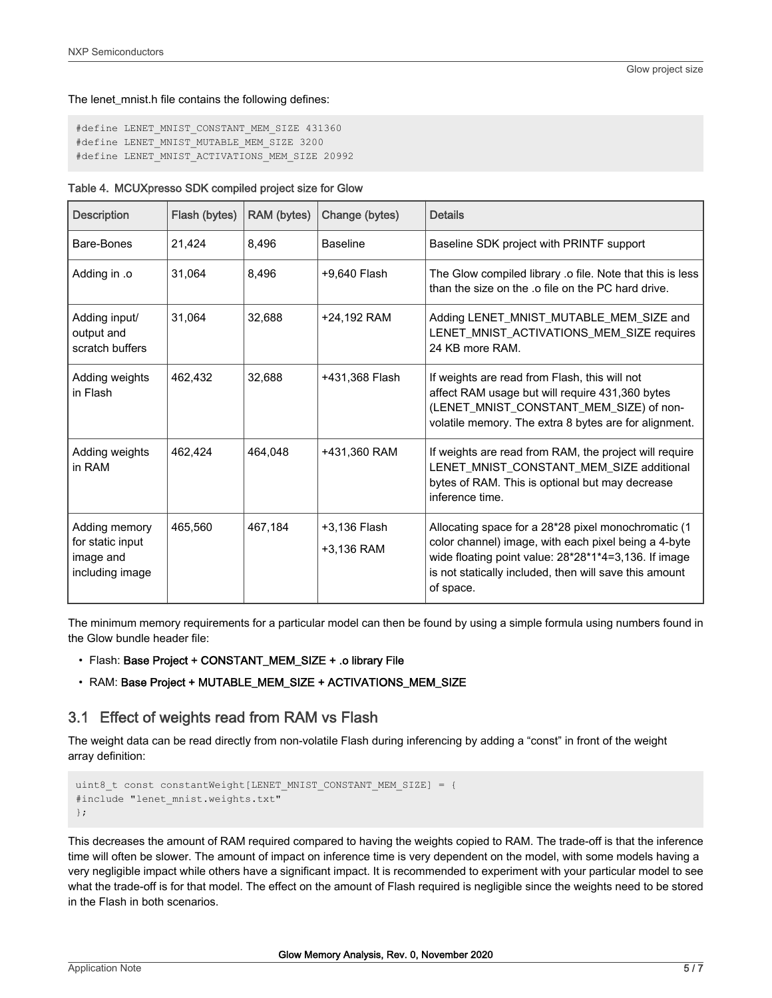#### The lenet\_mnist.h file contains the following defines:

```
#define LENET MNIST CONSTANT MEM SIZE 431360
#define LENET MNIST MUTABLE MEM SIZE 3200
#define LENET MNIST ACTIVATIONS MEM SIZE 20992
```

| <b>Description</b>                                                | Flash (bytes) | RAM (bytes) | Change (bytes)             | <b>Details</b>                                                                                                                                                                                                                             |
|-------------------------------------------------------------------|---------------|-------------|----------------------------|--------------------------------------------------------------------------------------------------------------------------------------------------------------------------------------------------------------------------------------------|
| Bare-Bones                                                        | 21,424        | 8,496       | <b>Baseline</b>            | Baseline SDK project with PRINTF support                                                                                                                                                                                                   |
| Adding in .o                                                      | 31,064        | 8,496       | +9,640 Flash               | The Glow compiled library .o file. Note that this is less<br>than the size on the .o file on the PC hard drive.                                                                                                                            |
| Adding input/<br>output and<br>scratch buffers                    | 31.064        | 32,688      | +24,192 RAM                | Adding LENET_MNIST_MUTABLE_MEM_SIZE and<br>LENET_MNIST_ACTIVATIONS_MEM_SIZE requires<br>24 KB more RAM.                                                                                                                                    |
| Adding weights<br>in Flash                                        | 462,432       | 32,688      | +431,368 Flash             | If weights are read from Flash, this will not<br>affect RAM usage but will require 431,360 bytes<br>(LENET_MNIST_CONSTANT_MEM_SIZE) of non-<br>volatile memory. The extra 8 bytes are for alignment.                                       |
| Adding weights<br>in RAM                                          | 462.424       | 464.048     | +431,360 RAM               | If weights are read from RAM, the project will require<br>LENET_MNIST_CONSTANT_MEM_SIZE additional<br>bytes of RAM. This is optional but may decrease<br>inference time.                                                                   |
| Adding memory<br>for static input<br>image and<br>including image | 465,560       | 467.184     | +3,136 Flash<br>+3,136 RAM | Allocating space for a 28*28 pixel monochromatic (1<br>color channel) image, with each pixel being a 4-byte<br>wide floating point value: 28*28*1*4=3,136. If image<br>is not statically included, then will save this amount<br>of space. |

The minimum memory requirements for a particular model can then be found by using a simple formula using numbers found in the Glow bundle header file:

• Flash: Base Project + CONSTANT\_MEM\_SIZE + .o library File

#### • RAM: Base Project + MUTABLE\_MEM\_SIZE + ACTIVATIONS\_MEM\_SIZE

## 3.1 Effect of weights read from RAM vs Flash

The weight data can be read directly from non-volatile Flash during inferencing by adding a "const" in front of the weight array definition:

```
uint8 t const constantWeight[LENET MNIST CONSTANT MEM SIZE] = {
#include "lenet mnist.weights.txt"
};
```
This decreases the amount of RAM required compared to having the weights copied to RAM. The trade-off is that the inference time will often be slower. The amount of impact on inference time is very dependent on the model, with some models having a very negligible impact while others have a significant impact. It is recommended to experiment with your particular model to see what the trade-off is for that model. The effect on the amount of Flash required is negligible since the weights need to be stored in the Flash in both scenarios.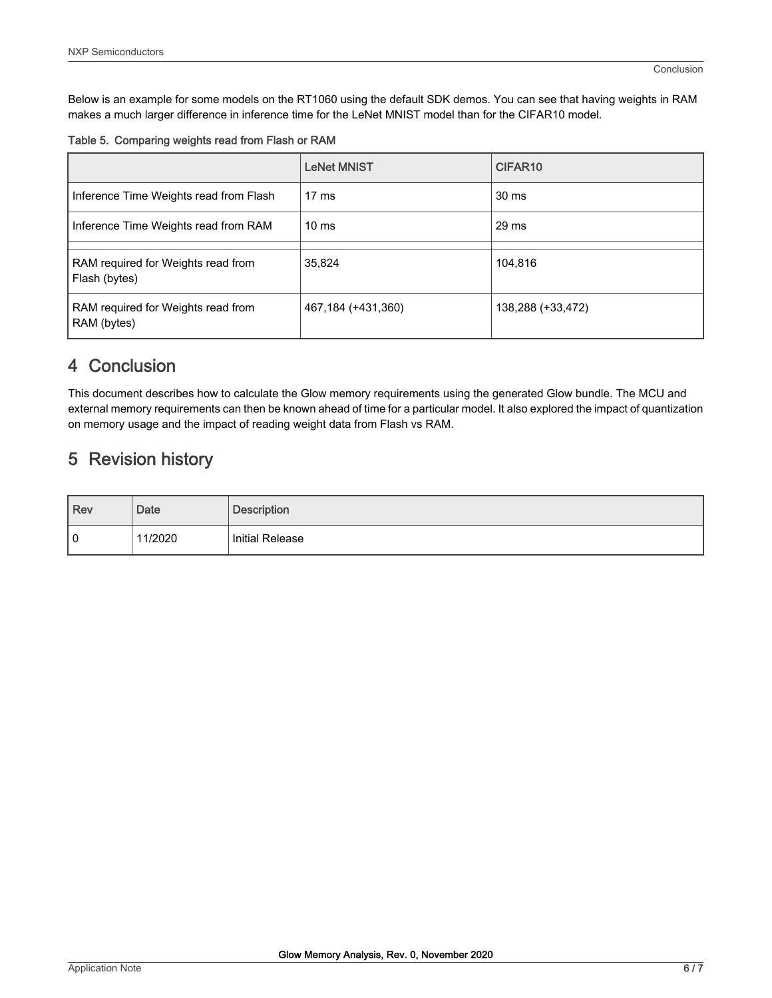<span id="page-5-0"></span>Below is an example for some models on the RT1060 using the default SDK demos. You can see that having weights in RAM makes a much larger difference in inference time for the LeNet MNIST model than for the CIFAR10 model.

| Table 5. Comparing weights read from Flash or RAM |  |  |
|---------------------------------------------------|--|--|
|                                                   |  |  |

|                                                     | <b>LeNet MNIST</b> | CIFAR <sub>10</sub> |
|-----------------------------------------------------|--------------------|---------------------|
| Inference Time Weights read from Flash              | $17 \text{ ms}$    | 30 ms               |
| Inference Time Weights read from RAM                | 10 <sub>ms</sub>   | 29 ms               |
| RAM required for Weights read from<br>Flash (bytes) | 35,824             | 104,816             |
| RAM required for Weights read from<br>RAM (bytes)   | 467,184 (+431,360) | 138,288 (+33,472)   |

# 4 Conclusion

This document describes how to calculate the Glow memory requirements using the generated Glow bundle. The MCU and external memory requirements can then be known ahead of time for a particular model. It also explored the impact of quantization on memory usage and the impact of reading weight data from Flash vs RAM.

# 5 Revision history

| $ $ Rev | <b>Date</b> | <b>Description</b>     |
|---------|-------------|------------------------|
| 0       | 11/2020     | <b>Initial Release</b> |